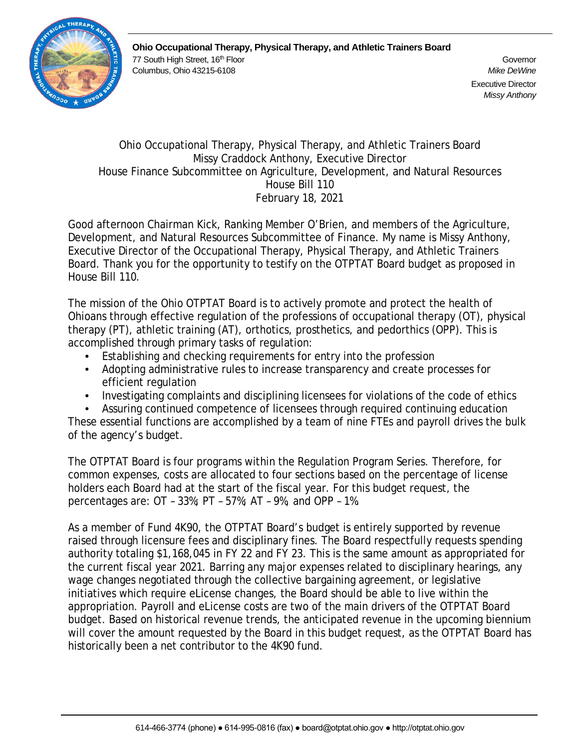

**Ohio Occupational Therapy, Physical Therapy, and Athletic Trainers Board** 77 South High Street, 16<sup>th</sup> Floor Governor Governor Governor Governor Governor Columbus, Ohio 43215-6108 *Mike DeWine*

Executive Director *Missy Anthony*

#### Ohio Occupational Therapy, Physical Therapy, and Athletic Trainers Board Missy Craddock Anthony, Executive Director House Finance Subcommittee on Agriculture, Development, and Natural Resources House Bill 110 February 18, 2021

Good afternoon Chairman Kick, Ranking Member O'Brien, and members of the Agriculture, Development, and Natural Resources Subcommittee of Finance. My name is Missy Anthony, Executive Director of the Occupational Therapy, Physical Therapy, and Athletic Trainers Board. Thank you for the opportunity to testify on the OTPTAT Board budget as proposed in House Bill 110.

The mission of the Ohio OTPTAT Board is to actively promote and protect the health of Ohioans through effective regulation of the professions of occupational therapy (OT), physical therapy (PT), athletic training (AT), orthotics, prosthetics, and pedorthics (OPP). This is accomplished through primary tasks of regulation:

- Establishing and checking requirements for entry into the profession
- Adopting administrative rules to increase transparency and create processes for efficient regulation
- Investigating complaints and disciplining licensees for violations of the code of ethics
- Assuring continued competence of licensees through required continuing education

These essential functions are accomplished by a team of nine FTEs and payroll drives the bulk of the agency's budget.

The OTPTAT Board is four programs within the Regulation Program Series. Therefore, for common expenses, costs are allocated to four sections based on the percentage of license holders each Board had at the start of the fiscal year. For this budget request, the percentages are: OT – 33%; PT – 57%; AT – 9%, and OPP – 1%.

As a member of Fund 4K90, the OTPTAT Board's budget is entirely supported by revenue raised through licensure fees and disciplinary fines. The Board respectfully requests spending authority totaling \$1,168,045 in FY 22 and FY 23. This is the same amount as appropriated for the current fiscal year 2021. Barring any major expenses related to disciplinary hearings, any wage changes negotiated through the collective bargaining agreement, or legislative initiatives which require eLicense changes, the Board should be able to live within the appropriation. Payroll and eLicense costs are two of the main drivers of the OTPTAT Board budget. Based on historical revenue trends, the anticipated revenue in the upcoming biennium will cover the amount requested by the Board in this budget request, as the OTPTAT Board has historically been a net contributor to the 4K90 fund.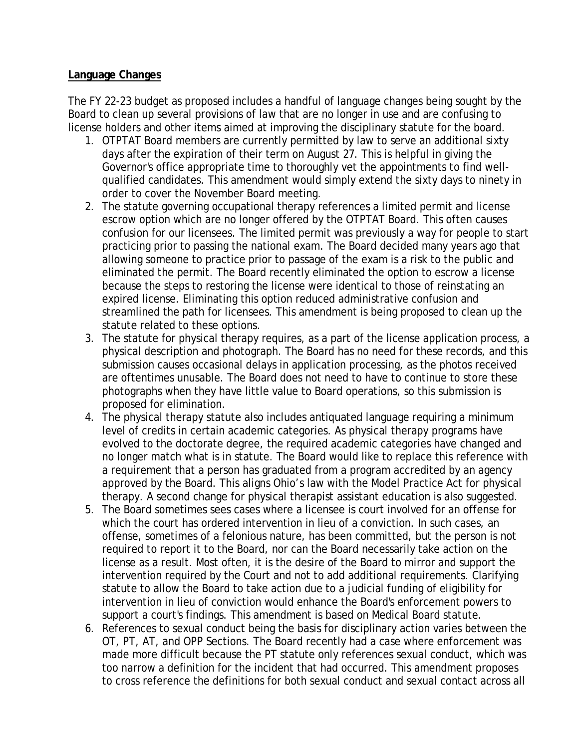#### **Language Changes**

The FY 22-23 budget as proposed includes a handful of language changes being sought by the Board to clean up several provisions of law that are no longer in use and are confusing to license holders and other items aimed at improving the disciplinary statute for the board.

- 1. OTPTAT Board members are currently permitted by law to serve an additional sixty days after the expiration of their term on August 27. This is helpful in giving the Governor's office appropriate time to thoroughly vet the appointments to find wellqualified candidates. This amendment would simply extend the sixty days to ninety in order to cover the November Board meeting.
- 2. The statute governing occupational therapy references a limited permit and license escrow option which are no longer offered by the OTPTAT Board. This often causes confusion for our licensees. The limited permit was previously a way for people to start practicing prior to passing the national exam. The Board decided many years ago that allowing someone to practice prior to passage of the exam is a risk to the public and eliminated the permit. The Board recently eliminated the option to escrow a license because the steps to restoring the license were identical to those of reinstating an expired license. Eliminating this option reduced administrative confusion and streamlined the path for licensees. This amendment is being proposed to clean up the statute related to these options.
- 3. The statute for physical therapy requires, as a part of the license application process, a physical description and photograph. The Board has no need for these records, and this submission causes occasional delays in application processing, as the photos received are oftentimes unusable. The Board does not need to have to continue to store these photographs when they have little value to Board operations, so this submission is proposed for elimination.
- 4. The physical therapy statute also includes antiquated language requiring a minimum level of credits in certain academic categories. As physical therapy programs have evolved to the doctorate degree, the required academic categories have changed and no longer match what is in statute. The Board would like to replace this reference with a requirement that a person has graduated from a program accredited by an agency approved by the Board. This aligns Ohio's law with the Model Practice Act for physical therapy. A second change for physical therapist assistant education is also suggested.
- 5. The Board sometimes sees cases where a licensee is court involved for an offense for which the court has ordered intervention in lieu of a conviction. In such cases, an offense, sometimes of a felonious nature, has been committed, but the person is not required to report it to the Board, nor can the Board necessarily take action on the license as a result. Most often, it is the desire of the Board to mirror and support the intervention required by the Court and not to add additional requirements. Clarifying statute to allow the Board to take action due to a judicial funding of eligibility for intervention in lieu of conviction would enhance the Board's enforcement powers to support a court's findings. This amendment is based on Medical Board statute.
- 6. References to sexual conduct being the basis for disciplinary action varies between the OT, PT, AT, and OPP Sections. The Board recently had a case where enforcement was made more difficult because the PT statute only references sexual conduct, which was too narrow a definition for the incident that had occurred. This amendment proposes to cross reference the definitions for both sexual conduct and sexual contact across all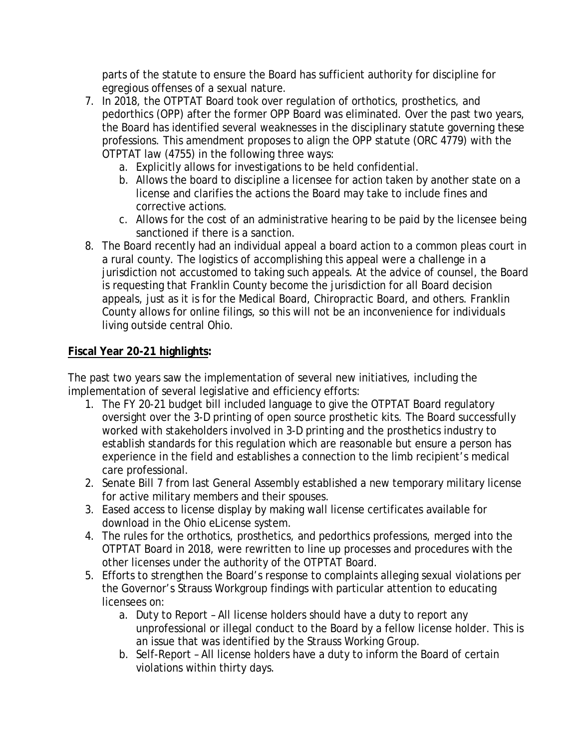parts of the statute to ensure the Board has sufficient authority for discipline for egregious offenses of a sexual nature.

- 7. In 2018, the OTPTAT Board took over regulation of orthotics, prosthetics, and pedorthics (OPP) after the former OPP Board was eliminated. Over the past two years, the Board has identified several weaknesses in the disciplinary statute governing these professions. This amendment proposes to align the OPP statute (ORC 4779) with the OTPTAT law (4755) in the following three ways:
	- a. Explicitly allows for investigations to be held confidential.
	- b. Allows the board to discipline a licensee for action taken by another state on a license and clarifies the actions the Board may take to include fines and corrective actions.
	- c. Allows for the cost of an administrative hearing to be paid by the licensee being sanctioned if there is a sanction.
- 8. The Board recently had an individual appeal a board action to a common pleas court in a rural county. The logistics of accomplishing this appeal were a challenge in a jurisdiction not accustomed to taking such appeals. At the advice of counsel, the Board is requesting that Franklin County become the jurisdiction for all Board decision appeals, just as it is for the Medical Board, Chiropractic Board, and others. Franklin County allows for online filings, so this will not be an inconvenience for individuals living outside central Ohio.

## **Fiscal Year 20-21 highlights:**

The past two years saw the implementation of several new initiatives, including the implementation of several legislative and efficiency efforts:

- 1. The FY 20-21 budget bill included language to give the OTPTAT Board regulatory oversight over the 3-D printing of open source prosthetic kits. The Board successfully worked with stakeholders involved in 3-D printing and the prosthetics industry to establish standards for this regulation which are reasonable but ensure a person has experience in the field and establishes a connection to the limb recipient's medical care professional.
- 2. Senate Bill 7 from last General Assembly established a new temporary military license for active military members and their spouses.
- 3. Eased access to license display by making wall license certificates available for download in the Ohio eLicense system.
- 4. The rules for the orthotics, prosthetics, and pedorthics professions, merged into the OTPTAT Board in 2018, were rewritten to line up processes and procedures with the other licenses under the authority of the OTPTAT Board.
- 5. Efforts to strengthen the Board's response to complaints alleging sexual violations per the Governor's Strauss Workgroup findings with particular attention to educating licensees on:
	- a. Duty to Report All license holders should have a duty to report any unprofessional or illegal conduct to the Board by a fellow license holder. This is an issue that was identified by the Strauss Working Group.
	- b. Self-Report All license holders have a duty to inform the Board of certain violations within thirty days.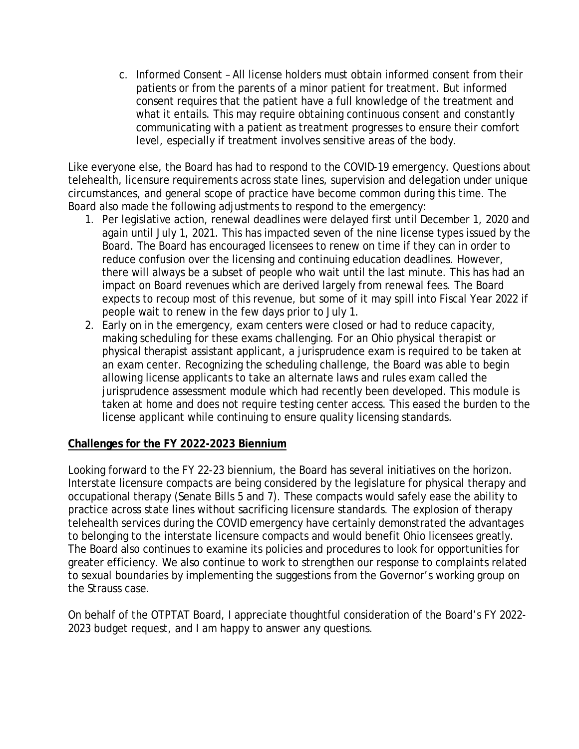c. Informed Consent – All license holders must obtain informed consent from their patients or from the parents of a minor patient for treatment. But informed consent requires that the patient have a full knowledge of the treatment and what it entails. This may require obtaining continuous consent and constantly communicating with a patient as treatment progresses to ensure their comfort level, especially if treatment involves sensitive areas of the body.

Like everyone else, the Board has had to respond to the COVID-19 emergency. Questions about telehealth, licensure requirements across state lines, supervision and delegation under unique circumstances, and general scope of practice have become common during this time. The Board also made the following adjustments to respond to the emergency:

- 1. Per legislative action, renewal deadlines were delayed first until December 1, 2020 and again until July 1, 2021. This has impacted seven of the nine license types issued by the Board. The Board has encouraged licensees to renew on time if they can in order to reduce confusion over the licensing and continuing education deadlines. However, there will always be a subset of people who wait until the last minute. This has had an impact on Board revenues which are derived largely from renewal fees. The Board expects to recoup most of this revenue, but some of it may spill into Fiscal Year 2022 if people wait to renew in the few days prior to July 1.
- 2. Early on in the emergency, exam centers were closed or had to reduce capacity, making scheduling for these exams challenging. For an Ohio physical therapist or physical therapist assistant applicant, a jurisprudence exam is required to be taken at an exam center. Recognizing the scheduling challenge, the Board was able to begin allowing license applicants to take an alternate laws and rules exam called the jurisprudence assessment module which had recently been developed. This module is taken at home and does not require testing center access. This eased the burden to the license applicant while continuing to ensure quality licensing standards.

#### **Challenges for the FY 2022-2023 Biennium**

Looking forward to the FY 22-23 biennium, the Board has several initiatives on the horizon. Interstate licensure compacts are being considered by the legislature for physical therapy and occupational therapy (Senate Bills 5 and 7). These compacts would safely ease the ability to practice across state lines without sacrificing licensure standards. The explosion of therapy telehealth services during the COVID emergency have certainly demonstrated the advantages to belonging to the interstate licensure compacts and would benefit Ohio licensees greatly. The Board also continues to examine its policies and procedures to look for opportunities for greater efficiency. We also continue to work to strengthen our response to complaints related to sexual boundaries by implementing the suggestions from the Governor's working group on the Strauss case.

On behalf of the OTPTAT Board, I appreciate thoughtful consideration of the Board's FY 2022- 2023 budget request, and I am happy to answer any questions.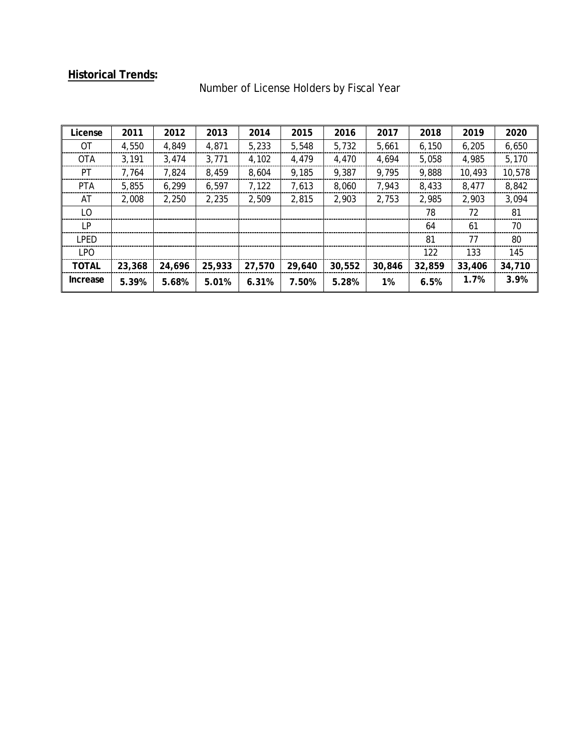# **Historical Trends:**

| License      | 2011   | 2012   | 2013   | 2014   | 2015   | 2016   | 2017   | 2018   | 2019   | 2020   |
|--------------|--------|--------|--------|--------|--------|--------|--------|--------|--------|--------|
| OT           | 4.550  | 4.849  | 4,871  | 5.233  | 5.548  | 5.732  | 5.661  | 6,150  | 6.205  | 6,650  |
| <b>OTA</b>   | 3.191  | 3.474  | 3,771  | 4.102  | 4.479  | 4.470  | 4.694  | 5.058  | 4.985  | 5.170  |
| PT.          | 7.764  | 7.824  | 8,459  | 8.604  | 9,185  | 9,387  | 9.795  | 9,888  | 10,493 | 10,578 |
| <b>PTA</b>   | 5.855  | 6.299  | 6,597  | 7.122  | 7.613  | 8.060  | 7.943  | 8.433  | 8.477  | 8,842  |
| AT           | 2.008  | 2.250  | 2.235  | 2.509  | 2.815  | 2.903  | 2.753  | 2.985  | 2.903  | 3.094  |
| LO.          |        |        |        |        |        |        |        | 78     | 72     | 81     |
| I P          |        |        |        |        |        |        |        | 64     | 61     | 70     |
| <b>LPED</b>  |        |        |        |        |        |        |        | 81     | 77     | 80     |
| I PO         |        |        |        |        |        |        |        | 122    | 133    | 145    |
| <b>TOTAL</b> | 23,368 | 24,696 | 25,933 | 27,570 | 29,640 | 30,552 | 30,846 | 32,859 | 33,406 | 34,710 |
| Increase     | 5.39%  | 5.68%  | 5.01%  | 6.31%  | 7.50%  | 5.28%  | 1%     | 6.5%   | 1.7%   | 3.9%   |

# Number of License Holders by Fiscal Year